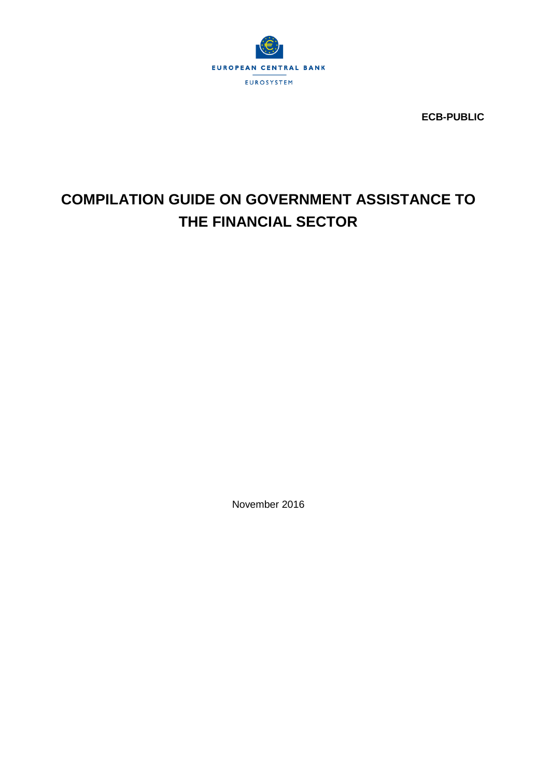

**ECB-PUBLIC**

# **COMPILATION GUIDE ON GOVERNMENT ASSISTANCE TO THE FINANCIAL SECTOR**

November 2016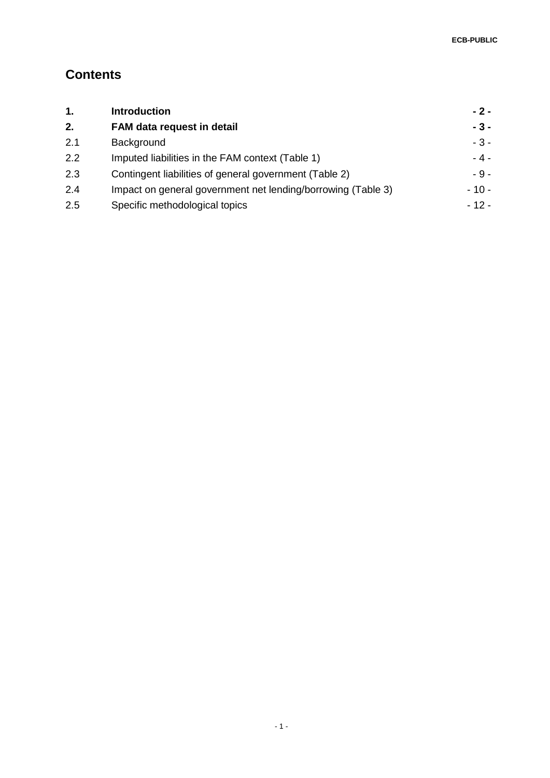# **Contents**

| 1.  | <b>Introduction</b>                                          | $-2-$  |
|-----|--------------------------------------------------------------|--------|
| 2.  | FAM data request in detail                                   | $-3-$  |
| 2.1 | Background                                                   | $-3-$  |
| 2.2 | Imputed liabilities in the FAM context (Table 1)             | $-4-$  |
| 2.3 | Contingent liabilities of general government (Table 2)       | $-9-$  |
| 2.4 | Impact on general government net lending/borrowing (Table 3) | - 10 - |
| 2.5 | Specific methodological topics                               | $-12-$ |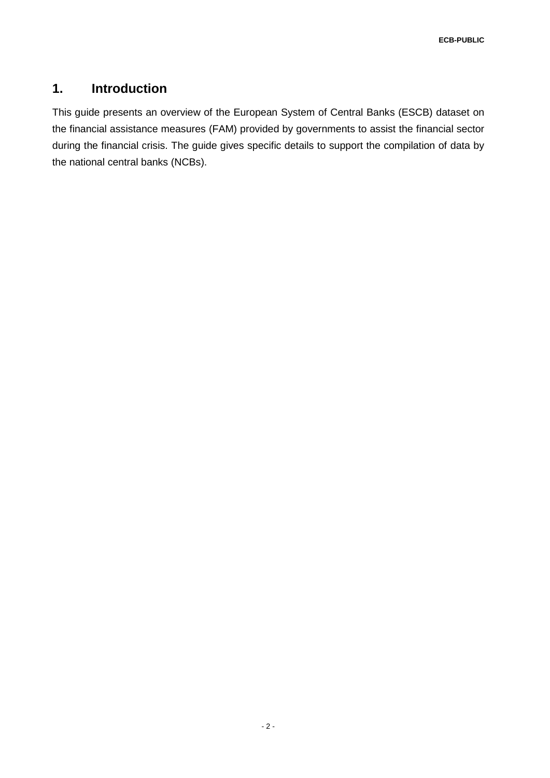# **1. Introduction**

This guide presents an overview of the European System of Central Banks (ESCB) dataset on the financial assistance measures (FAM) provided by governments to assist the financial sector during the financial crisis. The guide gives specific details to support the compilation of data by the national central banks (NCBs).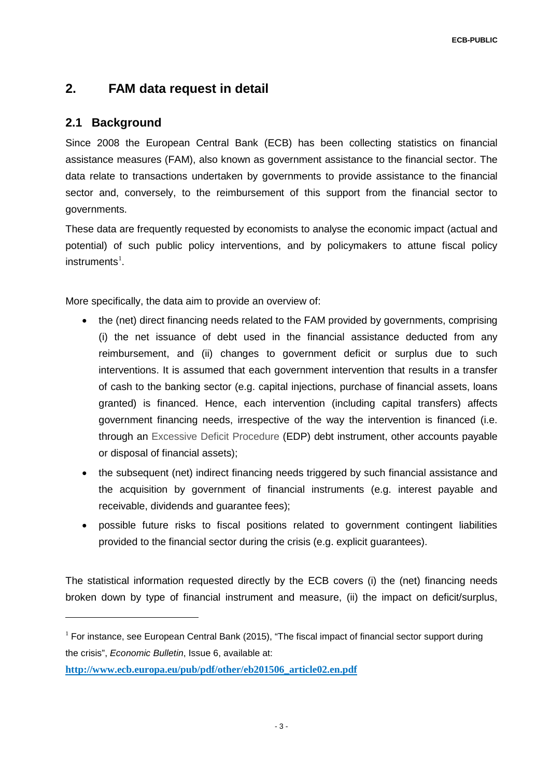# **2. FAM data request in detail**

## **2.1 Background**

-

Since 2008 the European Central Bank (ECB) has been collecting statistics on financial assistance measures (FAM), also known as government assistance to the financial sector. The data relate to transactions undertaken by governments to provide assistance to the financial sector and, conversely, to the reimbursement of this support from the financial sector to governments.

These data are frequently requested by economists to analyse the economic impact (actual and potential) of such public policy interventions, and by policymakers to attune fiscal policy  $in$ struments $^{1}$  $^{1}$  $^{1}$ .

More specifically, the data aim to provide an overview of:

- the (net) direct financing needs related to the FAM provided by governments, comprising (i) the net issuance of debt used in the financial assistance deducted from any reimbursement, and (ii) changes to government deficit or surplus due to such interventions. It is assumed that each government intervention that results in a transfer of cash to the banking sector (e.g. capital injections, purchase of financial assets, loans granted) is financed. Hence, each intervention (including capital transfers) affects government financing needs, irrespective of the way the intervention is financed (i.e. through an Excessive Deficit Procedure (EDP) debt instrument, other accounts payable or disposal of financial assets);
- the subsequent (net) indirect financing needs triggered by such financial assistance and the acquisition by government of financial instruments (e.g. interest payable and receivable, dividends and guarantee fees);
- possible future risks to fiscal positions related to government contingent liabilities provided to the financial sector during the crisis (e.g. explicit guarantees).

The statistical information requested directly by the ECB covers (i) the (net) financing needs broken down by type of financial instrument and measure, (ii) the impact on deficit/surplus,

<span id="page-3-0"></span> $1$  For instance, see European Central Bank (2015), "The fiscal impact of financial sector support during the crisis", *Economic Bulletin*, Issue 6, available at:

**[http://www.ecb.europa.eu/pub/pdf/other/eb201506\\_article02.en.pdf](http://www.ecb.europa.eu/pub/pdf/other/eb201506_article02.en.pdf)**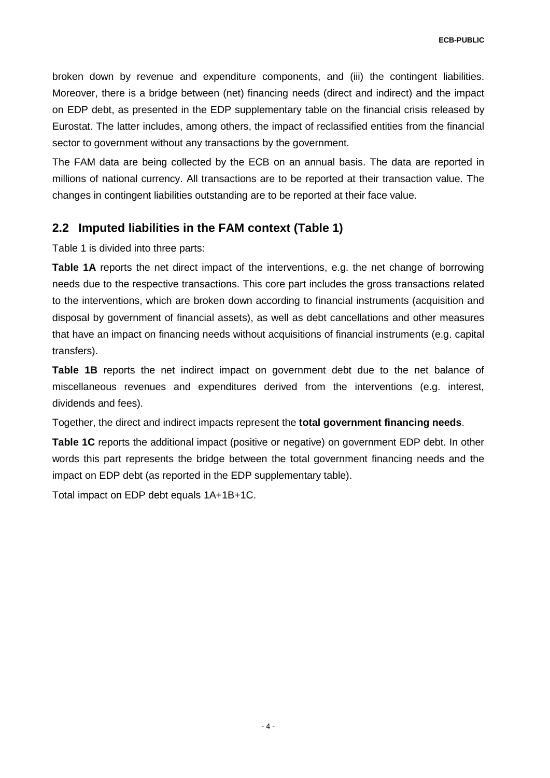broken down by revenue and expenditure components, and (iii) the contingent liabilities. Moreover, there is a bridge between (net) financing needs (direct and indirect) and the impact on EDP debt, as presented in the EDP supplementary table on the financial crisis released by Eurostat. The latter includes, among others, the impact of reclassified entities from the financial sector to government without any transactions by the government.

The FAM data are being collected by the ECB on an annual basis. The data are reported in millions of national currency. All transactions are to be reported at their transaction value. The changes in contingent liabilities outstanding are to be reported at their face value.

## **2.2 Imputed liabilities in the FAM context (Table 1)**

Table 1 is divided into three parts:

**Table 1A** reports the net direct impact of the interventions, e.g. the net change of borrowing needs due to the respective transactions. This core part includes the gross transactions related to the interventions, which are broken down according to financial instruments (acquisition and disposal by government of financial assets), as well as debt cancellations and other measures that have an impact on financing needs without acquisitions of financial instruments (e.g. capital transfers).

**Table 1B** reports the net indirect impact on government debt due to the net balance of miscellaneous revenues and expenditures derived from the interventions (e.g. interest, dividends and fees).

Together, the direct and indirect impacts represent the **total government financing needs**.

**Table 1C** reports the additional impact (positive or negative) on government EDP debt. In other words this part represents the bridge between the total government financing needs and the impact on EDP debt (as reported in the EDP supplementary table).

Total impact on EDP debt equals 1A+1B+1C.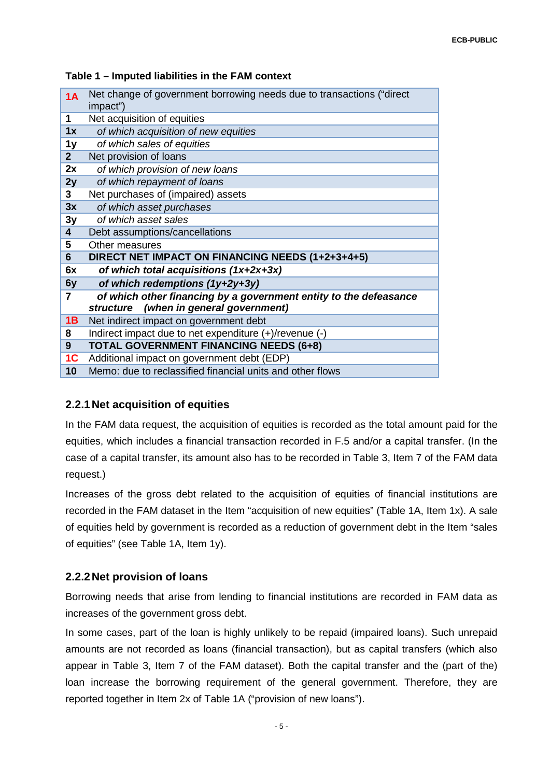#### **Table 1 – Imputed liabilities in the FAM context**

| 1A                      | Net change of government borrowing needs due to transactions ("direct"<br>impact")                          |
|-------------------------|-------------------------------------------------------------------------------------------------------------|
| 1                       | Net acquisition of equities                                                                                 |
| 1x                      | of which acquisition of new equities                                                                        |
| 1 <sub>y</sub>          | of which sales of equities                                                                                  |
| 2 <sup>2</sup>          | Net provision of loans                                                                                      |
| 2x                      | of which provision of new loans                                                                             |
| 2y                      | of which repayment of loans                                                                                 |
| 3                       | Net purchases of (impaired) assets                                                                          |
| 3x                      | of which asset purchases                                                                                    |
| 3y                      | of which asset sales                                                                                        |
| $\overline{\mathbf{4}}$ | Debt assumptions/cancellations                                                                              |
| 5                       | Other measures                                                                                              |
| 6                       | DIRECT NET IMPACT ON FINANCING NEEDS (1+2+3+4+5)                                                            |
| 6x                      | of which total acquisitions (1x+2x+3x)                                                                      |
| 6y                      | of which redemptions (1y+2y+3y)                                                                             |
| 7                       | of which other financing by a government entity to the defeasance<br>structure (when in general government) |
| 1B                      | Net indirect impact on government debt                                                                      |
| 8                       | Indirect impact due to net expenditure (+)/revenue (-)                                                      |
| 9                       | <b>TOTAL GOVERNMENT FINANCING NEEDS (6+8)</b>                                                               |
| 1 <sub>C</sub>          | Additional impact on government debt (EDP)                                                                  |
| 10                      | Memo: due to reclassified financial units and other flows                                                   |

## **2.2.1Net acquisition of equities**

In the FAM data request, the acquisition of equities is recorded as the total amount paid for the equities, which includes a financial transaction recorded in F.5 and/or a capital transfer. (In the case of a capital transfer, its amount also has to be recorded in Table 3, Item 7 of the FAM data request.)

Increases of the gross debt related to the acquisition of equities of financial institutions are recorded in the FAM dataset in the Item "acquisition of new equities" (Table 1A, Item 1x). A sale of equities held by government is recorded as a reduction of government debt in the Item "sales of equities" (see Table 1A, Item 1y).

## <span id="page-5-0"></span>**2.2.2Net provision of loans**

Borrowing needs that arise from lending to financial institutions are recorded in FAM data as increases of the government gross debt.

In some cases, part of the loan is highly unlikely to be repaid (impaired loans). Such unrepaid amounts are not recorded as loans (financial transaction), but as capital transfers (which also appear in Table 3, Item 7 of the FAM dataset). Both the capital transfer and the (part of the) loan increase the borrowing requirement of the general government. Therefore, they are reported together in Item 2x of Table 1A ("provision of new loans").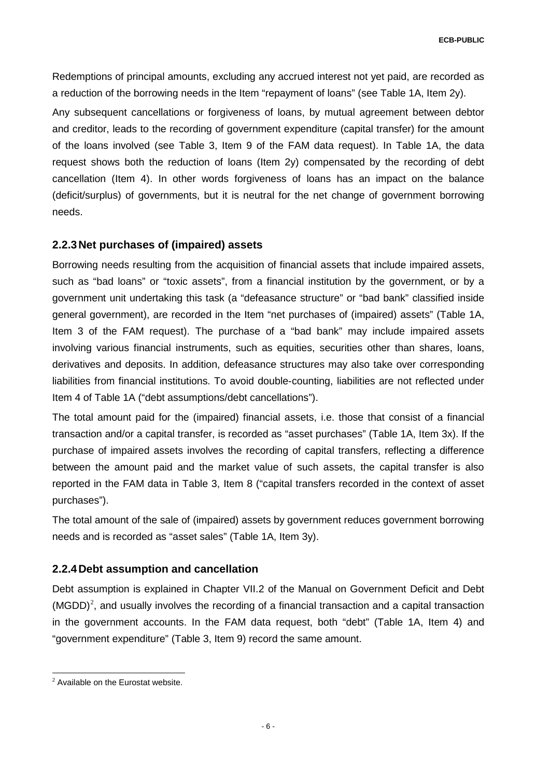Redemptions of principal amounts, excluding any accrued interest not yet paid, are recorded as a reduction of the borrowing needs in the Item "repayment of loans" (see Table 1A, Item 2y).

Any subsequent cancellations or forgiveness of loans, by mutual agreement between debtor and creditor, leads to the recording of government expenditure (capital transfer) for the amount of the loans involved (see Table 3, Item 9 of the FAM data request). In Table 1A, the data request shows both the reduction of loans (Item 2y) compensated by the recording of debt cancellation (Item 4). In other words forgiveness of loans has an impact on the balance (deficit/surplus) of governments, but it is neutral for the net change of government borrowing needs.

## <span id="page-6-1"></span>**2.2.3Net purchases of (impaired) assets**

Borrowing needs resulting from the acquisition of financial assets that include impaired assets, such as "bad loans" or "toxic assets", from a financial institution by the government, or by a government unit undertaking this task (a "defeasance structure" or "bad bank" classified inside general government), are recorded in the Item "net purchases of (impaired) assets" (Table 1A, Item 3 of the FAM request). The purchase of a "bad bank" may include impaired assets involving various financial instruments, such as equities, securities other than shares, loans, derivatives and deposits. In addition, defeasance structures may also take over corresponding liabilities from financial institutions. To avoid double-counting, liabilities are not reflected under Item 4 of Table 1A ("debt assumptions/debt cancellations").

The total amount paid for the (impaired) financial assets, i.e. those that consist of a financial transaction and/or a capital transfer, is recorded as "asset purchases" (Table 1A, Item 3x). If the purchase of impaired assets involves the recording of capital transfers, reflecting a difference between the amount paid and the market value of such assets, the capital transfer is also reported in the FAM data in Table 3, Item 8 ("capital transfers recorded in the context of asset purchases").

The total amount of the sale of (impaired) assets by government reduces government borrowing needs and is recorded as "asset sales" (Table 1A, Item 3y).

## <span id="page-6-2"></span>**2.2.4Debt assumption and cancellation**

Debt assumption is explained in Chapter VII.2 of the Manual on Government Deficit and Debt  $(MGDD)<sup>2</sup>$  $(MGDD)<sup>2</sup>$  $(MGDD)<sup>2</sup>$ , and usually involves the recording of a financial transaction and a capital transaction in the government accounts. In the FAM data request, both "debt" (Table 1A, Item 4) and "government expenditure" (Table 3, Item 9) record the same amount.

<span id="page-6-0"></span><sup>-</sup> $2$  Available on the Eurostat website.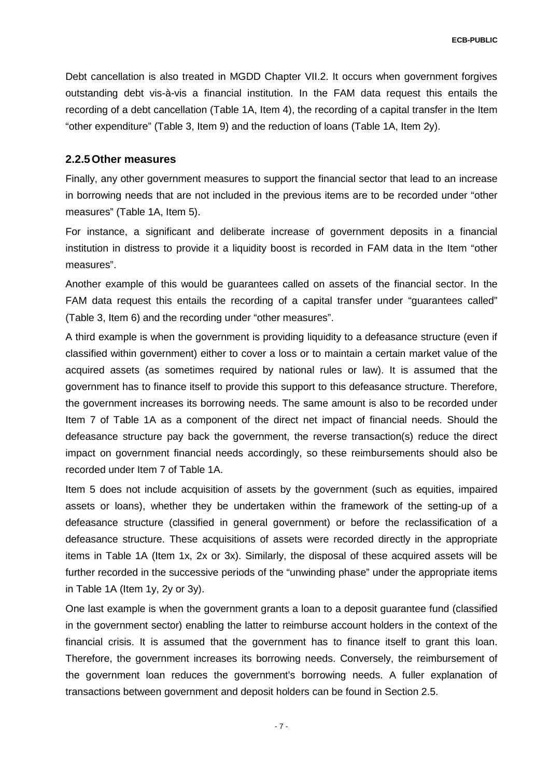Debt cancellation is also treated in MGDD Chapter VII.2. It occurs when government forgives outstanding debt vis-à-vis a financial institution. In the FAM data request this entails the recording of a debt cancellation (Table 1A, Item 4), the recording of a capital transfer in the Item "other expenditure" (Table 3, Item 9) and the reduction of loans (Table 1A, Item 2y).

## **2.2.5Other measures**

Finally, any other government measures to support the financial sector that lead to an increase in borrowing needs that are not included in the previous items are to be recorded under "other measures" (Table 1A, Item 5).

For instance, a significant and deliberate increase of government deposits in a financial institution in distress to provide it a liquidity boost is recorded in FAM data in the Item "other measures".

Another example of this would be guarantees called on assets of the financial sector. In the FAM data request this entails the recording of a capital transfer under "guarantees called" (Table 3, Item 6) and the recording under "other measures".

A third example is when the government is providing liquidity to a defeasance structure (even if classified within government) either to cover a loss or to maintain a certain market value of the acquired assets (as sometimes required by national rules or law). It is assumed that the government has to finance itself to provide this support to this defeasance structure. Therefore, the government increases its borrowing needs. The same amount is also to be recorded under Item 7 of Table 1A as a component of the direct net impact of financial needs. Should the defeasance structure pay back the government, the reverse transaction(s) reduce the direct impact on government financial needs accordingly, so these reimbursements should also be recorded under Item 7 of Table 1A.

Item 5 does not include acquisition of assets by the government (such as equities, impaired assets or loans), whether they be undertaken within the framework of the setting-up of a defeasance structure (classified in general government) or before the reclassification of a defeasance structure. These acquisitions of assets were recorded directly in the appropriate items in Table 1A (Item 1x, 2x or 3x). Similarly, the disposal of these acquired assets will be further recorded in the successive periods of the "unwinding phase" under the appropriate items in Table 1A (Item 1y, 2y or 3y).

One last example is when the government grants a loan to a deposit guarantee fund (classified in the government sector) enabling the latter to reimburse account holders in the context of the financial crisis. It is assumed that the government has to finance itself to grant this loan. Therefore, the government increases its borrowing needs. Conversely, the reimbursement of the government loan reduces the government's borrowing needs. A fuller explanation of transactions between government and deposit holders can be found in Section 2.5.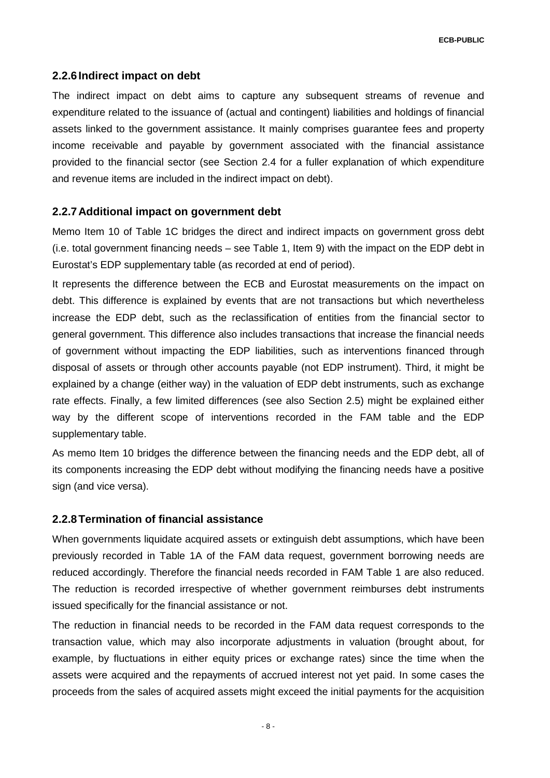#### **2.2.6Indirect impact on debt**

The indirect impact on debt aims to capture any subsequent streams of revenue and expenditure related to the issuance of (actual and contingent) liabilities and holdings of financial assets linked to the government assistance. It mainly comprises guarantee fees and property income receivable and payable by government associated with the financial assistance provided to the financial sector (see Section [2.4](#page-10-0) for a fuller explanation of which expenditure and revenue items are included in the indirect impact on debt).

#### **2.2.7Additional impact on government debt**

Memo Item 10 of Table 1C bridges the direct and indirect impacts on government gross debt (i.e. total government financing needs – see Table 1, Item 9) with the impact on the EDP debt in Eurostat's EDP supplementary table (as recorded at end of period).

It represents the difference between the ECB and Eurostat measurements on the impact on debt. This difference is explained by events that are not transactions but which nevertheless increase the EDP debt, such as the reclassification of entities from the financial sector to general government. This difference also includes transactions that increase the financial needs of government without impacting the EDP liabilities, such as interventions financed through disposal of assets or through other accounts payable (not EDP instrument). Third, it might be explained by a change (either way) in the valuation of EDP debt instruments, such as exchange rate effects. Finally, a few limited differences (see also Section 2.5) might be explained either way by the different scope of interventions recorded in the FAM table and the EDP supplementary table.

As memo Item 10 bridges the difference between the financing needs and the EDP debt, all of its components increasing the EDP debt without modifying the financing needs have a positive sign (and vice versa).

#### **2.2.8Termination of financial assistance**

When governments liquidate acquired assets or extinguish debt assumptions, which have been previously recorded in Table 1A of the FAM data request, government borrowing needs are reduced accordingly. Therefore the financial needs recorded in FAM Table 1 are also reduced. The reduction is recorded irrespective of whether government reimburses debt instruments issued specifically for the financial assistance or not.

The reduction in financial needs to be recorded in the FAM data request corresponds to the transaction value, which may also incorporate adjustments in valuation (brought about, for example, by fluctuations in either equity prices or exchange rates) since the time when the assets were acquired and the repayments of accrued interest not yet paid. In some cases the proceeds from the sales of acquired assets might exceed the initial payments for the acquisition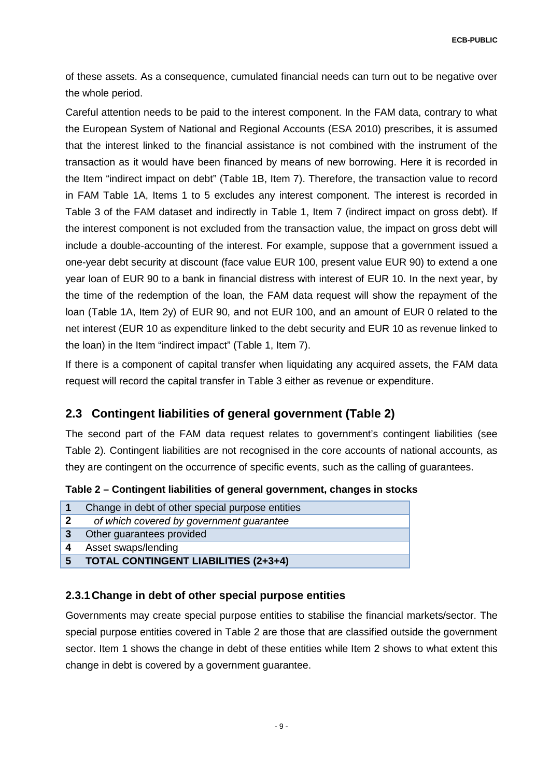of these assets. As a consequence, cumulated financial needs can turn out to be negative over the whole period.

Careful attention needs to be paid to the interest component. In the FAM data, contrary to what the European System of National and Regional Accounts (ESA 2010) prescribes, it is assumed that the interest linked to the financial assistance is not combined with the instrument of the transaction as it would have been financed by means of new borrowing. Here it is recorded in the Item "indirect impact on debt" (Table 1B, Item 7). Therefore, the transaction value to record in FAM Table 1A, Items 1 to 5 excludes any interest component. The interest is recorded in Table 3 of the FAM dataset and indirectly in Table 1, Item 7 (indirect impact on gross debt). If the interest component is not excluded from the transaction value, the impact on gross debt will include a double-accounting of the interest. For example, suppose that a government issued a one-year debt security at discount (face value EUR 100, present value EUR 90) to extend a one year loan of EUR 90 to a bank in financial distress with interest of EUR 10. In the next year, by the time of the redemption of the loan, the FAM data request will show the repayment of the loan (Table 1A, Item 2y) of EUR 90, and not EUR 100, and an amount of EUR 0 related to the net interest (EUR 10 as expenditure linked to the debt security and EUR 10 as revenue linked to the loan) in the Item "indirect impact" (Table 1, Item 7).

If there is a component of capital transfer when liquidating any acquired assets, the FAM data request will record the capital transfer in Table 3 either as revenue or expenditure.

## **2.3 Contingent liabilities of general government (Table 2)**

The second part of the FAM data request relates to government's contingent liabilities (see [Table 2\)](#page-9-0). Contingent liabilities are not recognised in the core accounts of national accounts, as they are contingent on the occurrence of specific events, such as the calling of guarantees.

<span id="page-9-0"></span>**Table 2 – Contingent liabilities of general government, changes in stocks**

| 1              | Change in debt of other special purpose entities |
|----------------|--------------------------------------------------|
| 2              | of which covered by government guarantee         |
| $\overline{3}$ | Other guarantees provided                        |
| 4              | Asset swaps/lending                              |
| -5             | <b>TOTAL CONTINGENT LIABILITIES (2+3+4)</b>      |

## **2.3.1Change in debt of other special purpose entities**

Governments may create special purpose entities to stabilise the financial markets/sector. The special purpose entities covered in Table 2 are those that are classified outside the government sector. Item 1 shows the change in debt of these entities while Item 2 shows to what extent this change in debt is covered by a government guarantee.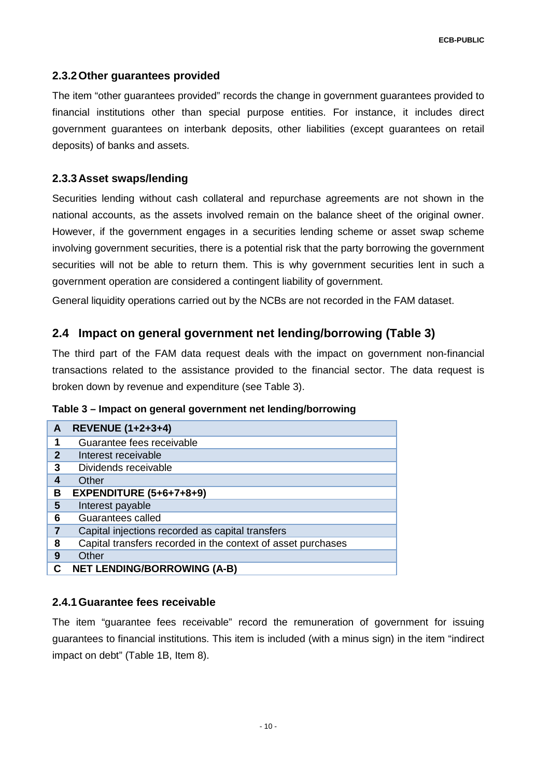#### **2.3.2Other guarantees provided**

The item "other guarantees provided" records the change in government guarantees provided to financial institutions other than special purpose entities. For instance, it includes direct government guarantees on interbank deposits, other liabilities (except guarantees on retail deposits) of banks and assets.

#### **2.3.3Asset swaps/lending**

Securities lending without cash collateral and repurchase agreements are not shown in the national accounts, as the assets involved remain on the balance sheet of the original owner. However, if the government engages in a securities lending scheme or asset swap scheme involving government securities, there is a potential risk that the party borrowing the government securities will not be able to return them. This is why government securities lent in such a government operation are considered a contingent liability of government.

<span id="page-10-0"></span>General liquidity operations carried out by the NCBs are not recorded in the FAM dataset.

## **2.4 Impact on general government net lending/borrowing (Table 3)**

The third part of the FAM data request deals with the impact on government non-financial transactions related to the assistance provided to the financial sector. The data request is broken down by revenue and expenditure (see [Table 3\)](#page-10-1).

<span id="page-10-1"></span>

| Table 3 - Impact on general government net lending/borrowing |  |  |
|--------------------------------------------------------------|--|--|
|--------------------------------------------------------------|--|--|

| A            | <b>REVENUE (1+2+3+4)</b>                                     |
|--------------|--------------------------------------------------------------|
| 1            | Guarantee fees receivable                                    |
| $\mathbf{2}$ | Interest receivable                                          |
| 3            | Dividends receivable                                         |
| 4            | Other                                                        |
| B            | <b>EXPENDITURE (5+6+7+8+9)</b>                               |
| 5            | Interest payable                                             |
| 6            | Guarantees called                                            |
| 7            | Capital injections recorded as capital transfers             |
| 8            | Capital transfers recorded in the context of asset purchases |
| 9            | Other                                                        |
| С            | <b>NET LENDING/BORROWING (A-B)</b>                           |

#### **2.4.1Guarantee fees receivable**

The item "guarantee fees receivable" record the remuneration of government for issuing guarantees to financial institutions. This item is included (with a minus sign) in the item "indirect impact on debt" (Table 1B, Item 8).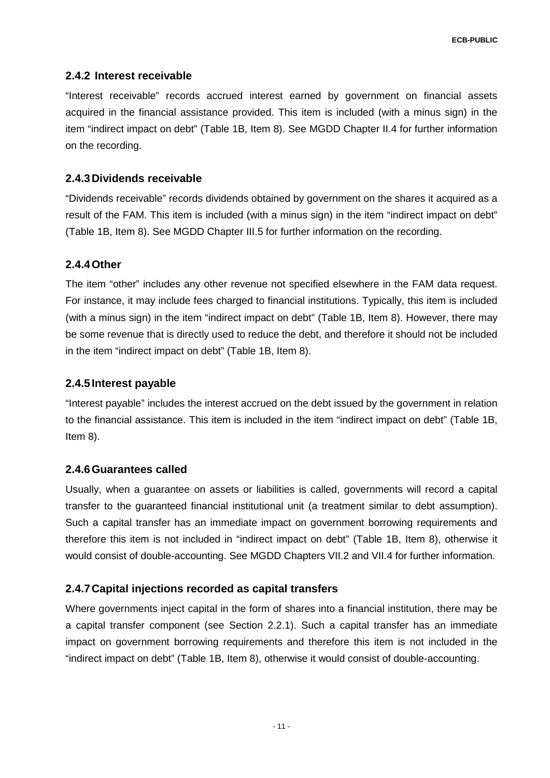## **2.4.2 Interest receivable**

"Interest receivable" records accrued interest earned by government on financial assets acquired in the financial assistance provided. This item is included (with a minus sign) in the item "indirect impact on debt" (Table 1B, Item 8). See MGDD Chapter II.4 for further information on the recording.

#### **2.4.3Dividends receivable**

"Dividends receivable" records dividends obtained by government on the shares it acquired as a result of the FAM. This item is included (with a minus sign) in the item "indirect impact on debt" (Table 1B, Item 8). See MGDD Chapter III.5 for further information on the recording.

## **2.4.4Other**

The item "other" includes any other revenue not specified elsewhere in the FAM data request. For instance, it may include fees charged to financial institutions. Typically, this item is included (with a minus sign) in the item "indirect impact on debt" (Table 1B, Item 8). However, there may be some revenue that is directly used to reduce the debt, and therefore it should not be included in the item "indirect impact on debt" (Table 1B, Item 8).

#### **2.4.5Interest payable**

"Interest payable" includes the interest accrued on the debt issued by the government in relation to the financial assistance. This item is included in the item "indirect impact on debt" (Table 1B, Item 8).

#### **2.4.6Guarantees called**

Usually, when a guarantee on assets or liabilities is called, governments will record a capital transfer to the guaranteed financial institutional unit (a treatment similar to debt assumption). Such a capital transfer has an immediate impact on government borrowing requirements and therefore this item is not included in "indirect impact on debt" (Table 1B, Item 8), otherwise it would consist of double-accounting. See MGDD Chapters VII.2 and VII.4 for further information.

## **2.4.7Capital injections recorded as capital transfers**

Where governments inject capital in the form of shares into a financial institution, there may be a capital transfer component (see Section 2.2.1). Such a capital transfer has an immediate impact on government borrowing requirements and therefore this item is not included in the "indirect impact on debt" (Table 1B, Item 8), otherwise it would consist of double-accounting.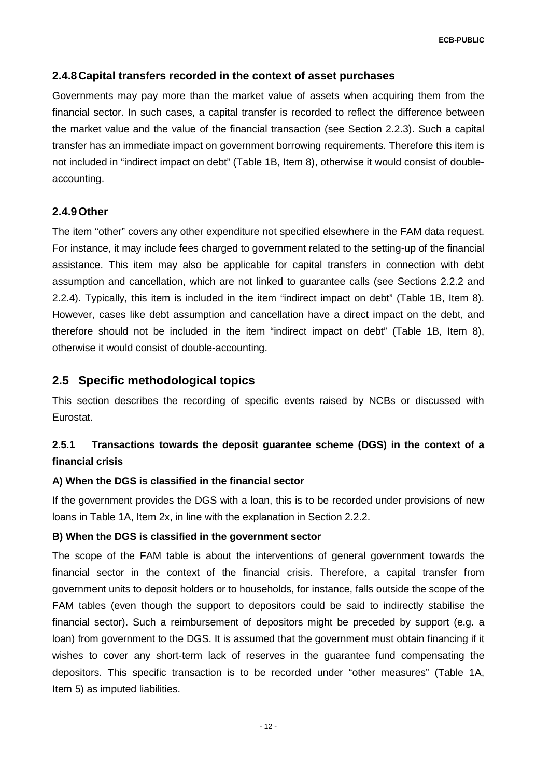## **2.4.8Capital transfers recorded in the context of asset purchases**

Governments may pay more than the market value of assets when acquiring them from the financial sector. In such cases, a capital transfer is recorded to reflect the difference between the market value and the value of the financial transaction (see Section [2.2.3\)](#page-6-1). Such a capital transfer has an immediate impact on government borrowing requirements. Therefore this item is not included in "indirect impact on debt" (Table 1B, Item 8), otherwise it would consist of doubleaccounting.

#### **2.4.9Other**

The item "other" covers any other expenditure not specified elsewhere in the FAM data request. For instance, it may include fees charged to government related to the setting-up of the financial assistance. This item may also be applicable for capital transfers in connection with debt assumption and cancellation, which are not linked to guarantee calls (see Sections [2.2.2](#page-5-0) and [2.2.4\)](#page-6-2). Typically, this item is included in the item "indirect impact on debt" (Table 1B, Item 8). However, cases like debt assumption and cancellation have a direct impact on the debt, and therefore should not be included in the item "indirect impact on debt" (Table 1B, Item 8), otherwise it would consist of double-accounting.

## **2.5 Specific methodological topics**

This section describes the recording of specific events raised by NCBs or discussed with Eurostat.

## **2.5.1 Transactions towards the deposit guarantee scheme (DGS) in the context of a financial crisis**

#### **A) When the DGS is classified in the financial sector**

If the government provides the DGS with a loan, this is to be recorded under provisions of new loans in Table 1A, Item 2x, in line with the explanation in Section 2.2.2.

#### **B) When the DGS is classified in the government sector**

The scope of the FAM table is about the interventions of general government towards the financial sector in the context of the financial crisis. Therefore, a capital transfer from government units to deposit holders or to households, for instance, falls outside the scope of the FAM tables (even though the support to depositors could be said to indirectly stabilise the financial sector). Such a reimbursement of depositors might be preceded by support (e.g. a loan) from government to the DGS. It is assumed that the government must obtain financing if it wishes to cover any short-term lack of reserves in the guarantee fund compensating the depositors. This specific transaction is to be recorded under "other measures" (Table 1A, Item 5) as imputed liabilities.